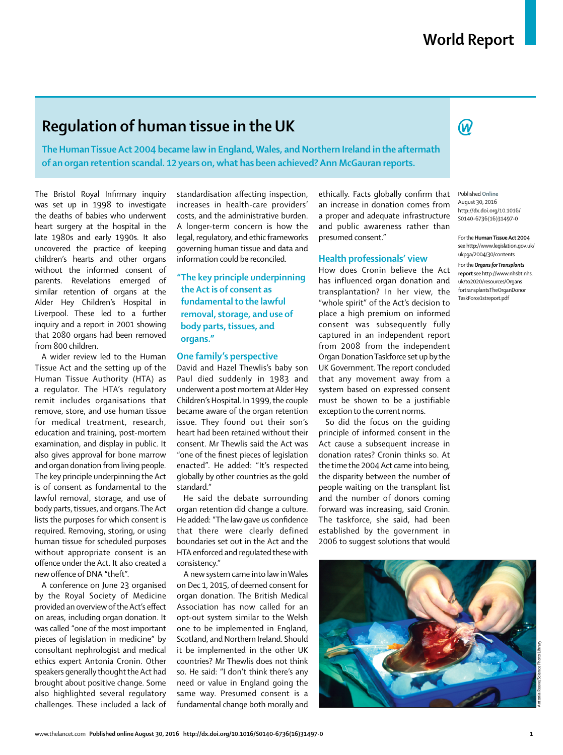$\bm{\mathcal{R}}$ 

# **Regulation of human tissue in the UK**

**The Human Tissue Act 2004 became law in England, Wales, and Northern Ireland in the aftermath of an organ retention scandal. 12 years on, what has been achieved? Ann McGauran reports.**

The Bristol Royal Infirmary inquiry was set up in 1998 to investigate the deaths of babies who underwent heart surgery at the hospital in the late 1980s and early 1990s. It also uncovered the practice of keeping children's hearts and other organs without the informed consent of parents. Revelations emerged of similar retention of organs at the Alder Hey Children's Hospital in Liverpool. These led to a further inquiry and a report in 2001 showing that 2080 organs had been removed from 800 children.

A wider review led to the Human Tissue Act and the setting up of the Human Tissue Authority (HTA) as a regulator. The HTA's regulatory remit includes organisations that remove, store, and use human tissue for medical treatment, research, education and training, post-mortem examination, and display in public. It also gives approval for bone marrow and organ donation from living people. The key principle underpinning the Act is of consent as fundamental to the lawful removal, storage, and use of body parts, tissues, and organs. The Act lists the purposes for which consent is required. Removing, storing, or using human tissue for scheduled purposes without appropriate consent is an offence under the Act. It also created a new offence of DNA "theft".

A conference on June 23 organised by the Royal Society of Medicine provided an overview of the Act's effect on areas, including organ donation. It was called "one of the most important pieces of legislation in medicine" by consultant nephrologist and medical ethics expert Antonia Cronin. Other speakers generally thought the Act had brought about positive change. Some also highlighted several regulatory challenges. These included a lack of standardisation affecting inspection, increases in health-care providers' costs, and the administrative burden. A longer-term concern is how the legal, regulatory, and ethic frameworks governing human tissue and data and information could be reconciled.

# **"The key principle underpinning the Act is of consent as fundamental to the lawful removal, storage, and use of body parts, tissues, and organs."**

#### **One family's perspective**

David and Hazel Thewlis's baby son Paul died suddenly in 1983 and underwent a post mortem at Alder Hey Children's Hospital. In 1999, the couple became aware of the organ retention issue. They found out their son's heart had been retained without their consent. Mr Thewlis said the Act was "one of the finest pieces of legislation enacted". He added: "It's respected globally by other countries as the gold standard."

He said the debate surrounding organ retention did change a culture. He added: "The law gave us confidence that there were clearly defined boundaries set out in the Act and the HTA enforced and regulated these with consistency."

A new system came into law in Wales on Dec 1, 2015, of deemed consent for organ donation. The British Medical Association has now called for an opt-out system similar to the Welsh one to be implemented in England, Scotland, and Northern Ireland. Should it be implemented in the other UK countries? Mr Thewlis does not think so. He said: "I don't think there's any need or value in England going the same way. Presumed consent is a fundamental change both morally and

ethically. Facts globally confirm that an increase in donation comes from a proper and adequate infrastructure and public awareness rather than presumed consent."

### **Health professionals' view**

How does Cronin believe the Act has influenced organ donation and transplantation? In her view, the "whole spirit" of the Act's decision to place a high premium on informed consent was subsequently fully captured in an independent report from 2008 from the independent Organ Donation Taskforce set up by the UK Government. The report concluded that any movement away from a system based on expressed consent must be shown to be a justifiable exception to the current norms.

So did the focus on the guiding principle of informed consent in the Act cause a subsequent increase in donation rates? Cronin thinks so. At the time the 2004 Act came into being, the disparity between the number of people waiting on the transplant list and the number of donors coming forward was increasing, said Cronin. The taskforce, she said, had been established by the government in 2006 to suggest solutions that would

Published **Online** August 30, 2016 http://dx.doi.org/10.1016/ S0140-6736(16)31497-0

For the **Human Tissue Act 2004** see http://www.legislation.gov.uk/ ukpga/2004/30/contents

For the *Organs for Transplants* **report** see http://www.nhsbt. nhs. uk/to2020/resources/Organs fortransplants TheOrganDonor TaskForce1streport.pdf